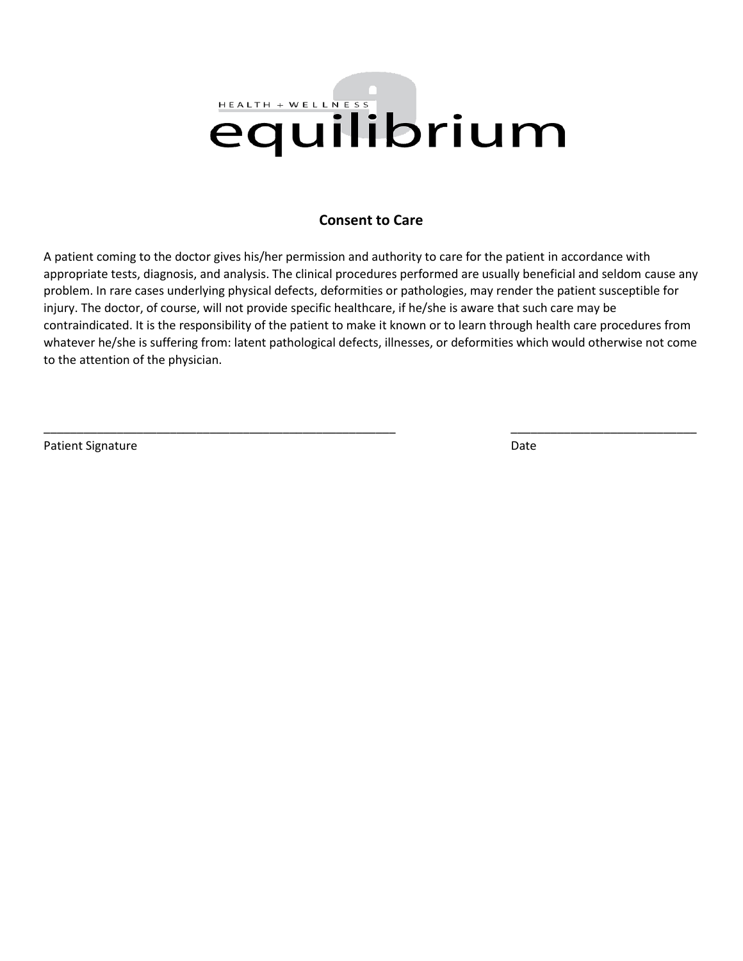# HEALTH + WELLNESS equilibrium

### **Consent to Care**

A patient coming to the doctor gives his/her permission and authority to care for the patient in accordance with appropriate tests, diagnosis, and analysis. The clinical procedures performed are usually beneficial and seldom cause any problem. In rare cases underlying physical defects, deformities or pathologies, may render the patient susceptible for injury. The doctor, of course, will not provide specific healthcare, if he/she is aware that such care may be contraindicated. It is the responsibility of the patient to make it known or to learn through health care procedures from whatever he/she is suffering from: latent pathological defects, illnesses, or deformities which would otherwise not come to the attention of the physician.

\_\_\_\_\_\_\_\_\_\_\_\_\_\_\_\_\_\_\_\_\_\_\_\_\_\_\_\_\_\_\_\_\_\_\_\_\_\_\_\_\_\_\_\_\_\_\_\_\_\_\_\_\_ \_\_\_\_\_\_\_\_\_\_\_\_\_\_\_\_\_\_\_\_\_\_\_\_\_\_\_\_

Patient Signature Date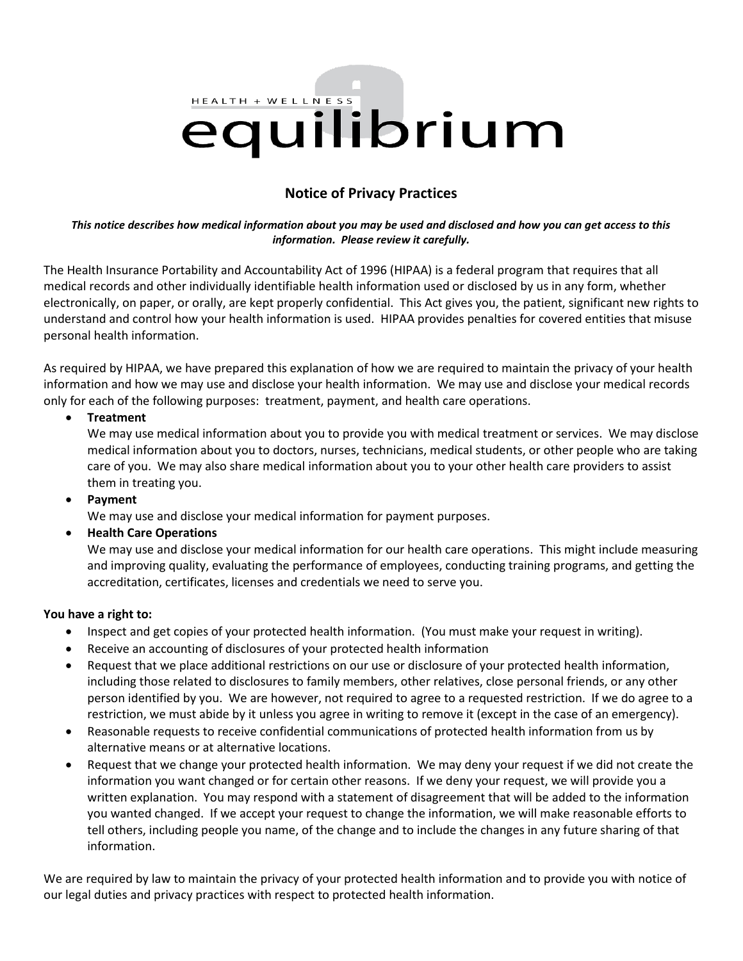# HEALTH + WELLNESS equilibrium

## **Notice of Privacy Practices**

#### *This notice describes how medical information about you may be used and disclosed and how you can get access to this information. Please review it carefully.*

The Health Insurance Portability and Accountability Act of 1996 (HIPAA) is a federal program that requires that all medical records and other individually identifiable health information used or disclosed by us in any form, whether electronically, on paper, or orally, are kept properly confidential. This Act gives you, the patient, significant new rights to understand and control how your health information is used. HIPAA provides penalties for covered entities that misuse personal health information.

As required by HIPAA, we have prepared this explanation of how we are required to maintain the privacy of your health information and how we may use and disclose your health information. We may use and disclose your medical records only for each of the following purposes: treatment, payment, and health care operations.

#### **Treatment**

We may use medical information about you to provide you with medical treatment or services. We may disclose medical information about you to doctors, nurses, technicians, medical students, or other people who are taking care of you. We may also share medical information about you to your other health care providers to assist them in treating you.

#### **Payment**

We may use and disclose your medical information for payment purposes.

#### **Health Care Operations**

We may use and disclose your medical information for our health care operations. This might include measuring and improving quality, evaluating the performance of employees, conducting training programs, and getting the accreditation, certificates, licenses and credentials we need to serve you.

#### **You have a right to:**

- Inspect and get copies of your protected health information. (You must make your request in writing).
- Receive an accounting of disclosures of your protected health information
- Request that we place additional restrictions on our use or disclosure of your protected health information, including those related to disclosures to family members, other relatives, close personal friends, or any other person identified by you. We are however, not required to agree to a requested restriction. If we do agree to a restriction, we must abide by it unless you agree in writing to remove it (except in the case of an emergency).
- Reasonable requests to receive confidential communications of protected health information from us by alternative means or at alternative locations.
- Request that we change your protected health information. We may deny your request if we did not create the information you want changed or for certain other reasons. If we deny your request, we will provide you a written explanation. You may respond with a statement of disagreement that will be added to the information you wanted changed. If we accept your request to change the information, we will make reasonable efforts to tell others, including people you name, of the change and to include the changes in any future sharing of that information.

We are required by law to maintain the privacy of your protected health information and to provide you with notice of our legal duties and privacy practices with respect to protected health information.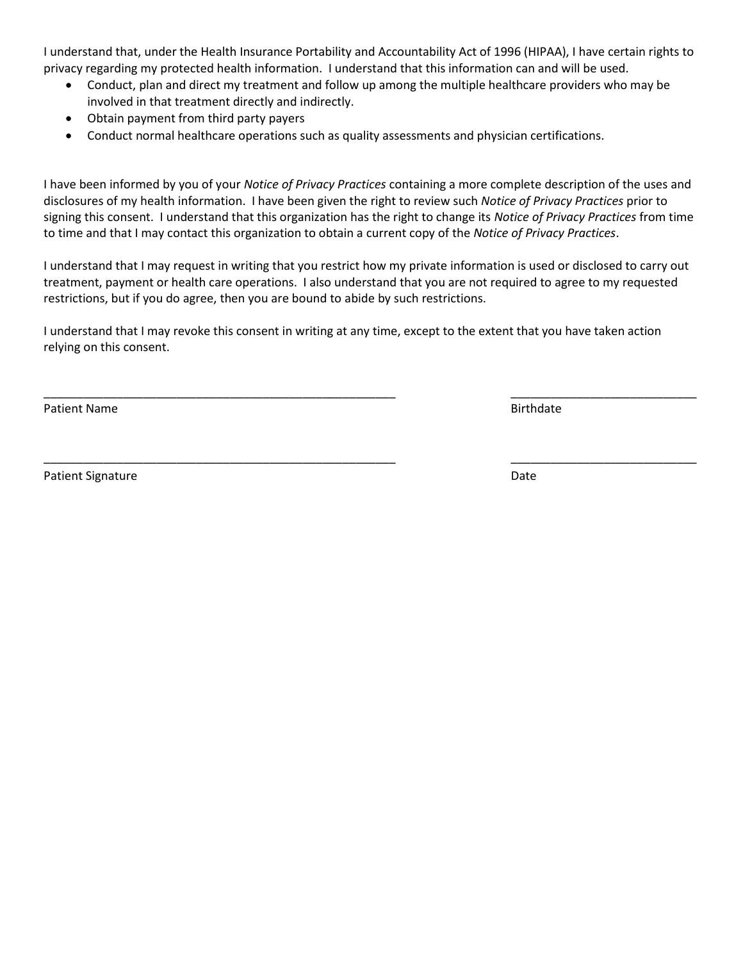I understand that, under the Health Insurance Portability and Accountability Act of 1996 (HIPAA), I have certain rights to privacy regarding my protected health information. I understand that this information can and will be used.

- Conduct, plan and direct my treatment and follow up among the multiple healthcare providers who may be involved in that treatment directly and indirectly.
- Obtain payment from third party payers
- Conduct normal healthcare operations such as quality assessments and physician certifications.

I have been informed by you of your *Notice of Privacy Practices* containing a more complete description of the uses and disclosures of my health information. I have been given the right to review such *Notice of Privacy Practices* prior to signing this consent. I understand that this organization has the right to change its *Notice of Privacy Practices* from time to time and that I may contact this organization to obtain a current copy of the *Notice of Privacy Practices*.

I understand that I may request in writing that you restrict how my private information is used or disclosed to carry out treatment, payment or health care operations. I also understand that you are not required to agree to my requested restrictions, but if you do agree, then you are bound to abide by such restrictions.

\_\_\_\_\_\_\_\_\_\_\_\_\_\_\_\_\_\_\_\_\_\_\_\_\_\_\_\_\_\_\_\_\_\_\_\_\_\_\_\_\_\_\_\_\_\_\_\_\_\_\_\_\_ \_\_\_\_\_\_\_\_\_\_\_\_\_\_\_\_\_\_\_\_\_\_\_\_\_\_\_\_

\_\_\_\_\_\_\_\_\_\_\_\_\_\_\_\_\_\_\_\_\_\_\_\_\_\_\_\_\_\_\_\_\_\_\_\_\_\_\_\_\_\_\_\_\_\_\_\_\_\_\_\_\_ \_\_\_\_\_\_\_\_\_\_\_\_\_\_\_\_\_\_\_\_\_\_\_\_\_\_\_\_

I understand that I may revoke this consent in writing at any time, except to the extent that you have taken action relying on this consent.

Patient Name **Birthdate** 

Patient Signature Date Date of the Date of the Date Date Date Date of the Date Date Date Date of the Date of the Date of the Date of the Date of the Date of the Date of the Date of the Date of the Date of the Date of the D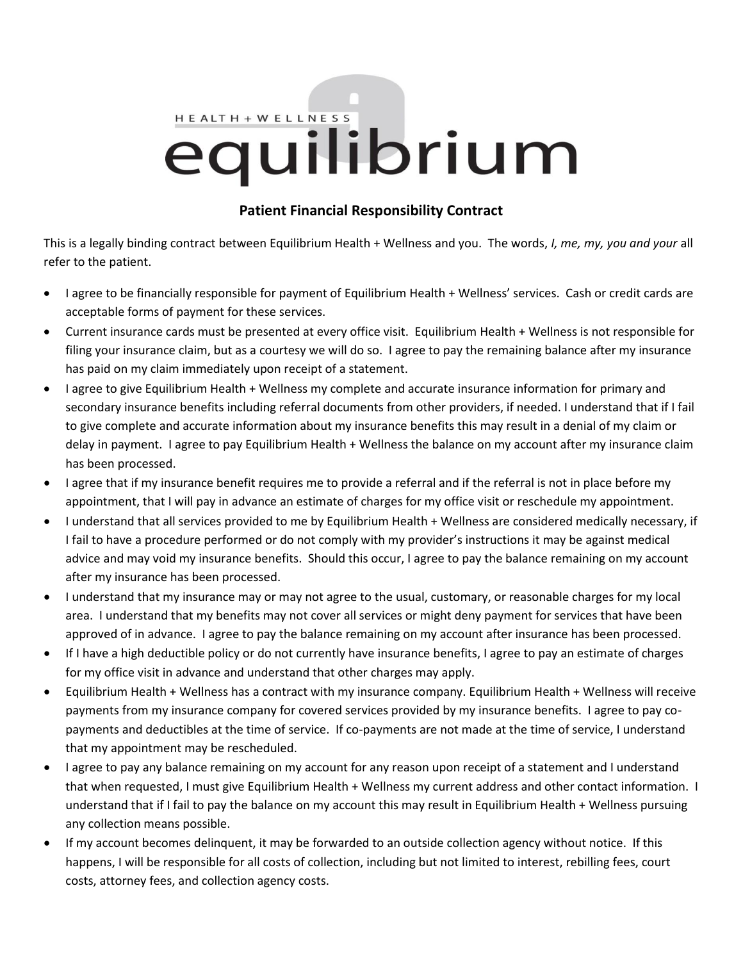# HEALTH + WELLNESS equilibrium

## **Patient Financial Responsibility Contract**

This is a legally binding contract between Equilibrium Health + Wellness and you. The words, *I, me, my, you and your* all refer to the patient.

- I agree to be financially responsible for payment of Equilibrium Health + Wellness' services. Cash or credit cards are acceptable forms of payment for these services.
- Current insurance cards must be presented at every office visit. Equilibrium Health + Wellness is not responsible for filing your insurance claim, but as a courtesy we will do so. I agree to pay the remaining balance after my insurance has paid on my claim immediately upon receipt of a statement.
- I agree to give Equilibrium Health + Wellness my complete and accurate insurance information for primary and secondary insurance benefits including referral documents from other providers, if needed. I understand that if I fail to give complete and accurate information about my insurance benefits this may result in a denial of my claim or delay in payment. I agree to pay Equilibrium Health + Wellness the balance on my account after my insurance claim has been processed.
- I agree that if my insurance benefit requires me to provide a referral and if the referral is not in place before my appointment, that I will pay in advance an estimate of charges for my office visit or reschedule my appointment.
- I understand that all services provided to me by Equilibrium Health + Wellness are considered medically necessary, if I fail to have a procedure performed or do not comply with my provider's instructions it may be against medical advice and may void my insurance benefits. Should this occur, I agree to pay the balance remaining on my account after my insurance has been processed.
- I understand that my insurance may or may not agree to the usual, customary, or reasonable charges for my local area. I understand that my benefits may not cover all services or might deny payment for services that have been approved of in advance. I agree to pay the balance remaining on my account after insurance has been processed.
- If I have a high deductible policy or do not currently have insurance benefits, I agree to pay an estimate of charges for my office visit in advance and understand that other charges may apply.
- Equilibrium Health + Wellness has a contract with my insurance company. Equilibrium Health + Wellness will receive payments from my insurance company for covered services provided by my insurance benefits. I agree to pay copayments and deductibles at the time of service. If co-payments are not made at the time of service, I understand that my appointment may be rescheduled.
- I agree to pay any balance remaining on my account for any reason upon receipt of a statement and I understand that when requested, I must give Equilibrium Health + Wellness my current address and other contact information. I understand that if I fail to pay the balance on my account this may result in Equilibrium Health + Wellness pursuing any collection means possible.
- If my account becomes delinquent, it may be forwarded to an outside collection agency without notice. If this happens, I will be responsible for all costs of collection, including but not limited to interest, rebilling fees, court costs, attorney fees, and collection agency costs.